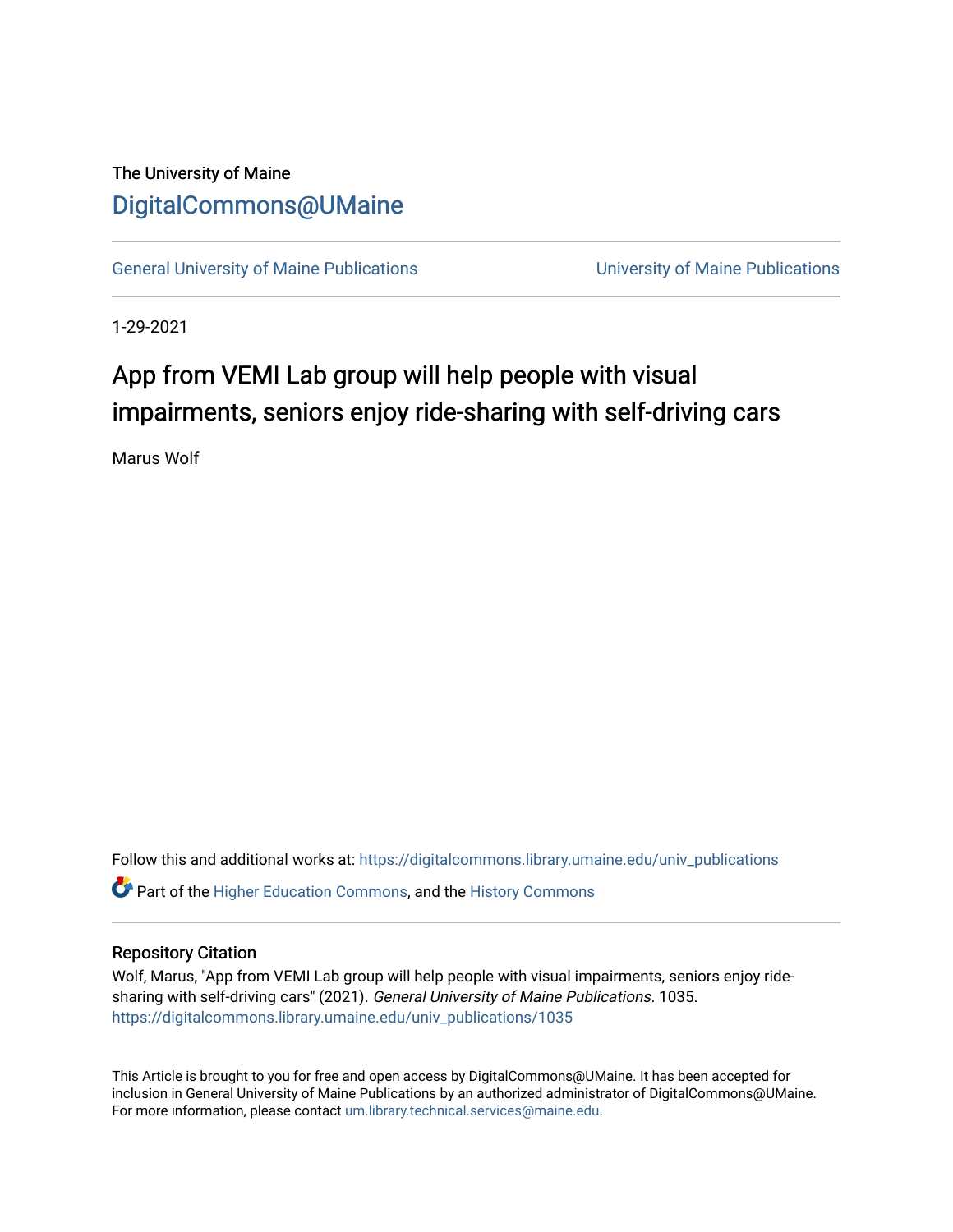## The University of Maine [DigitalCommons@UMaine](https://digitalcommons.library.umaine.edu/)

[General University of Maine Publications](https://digitalcommons.library.umaine.edu/univ_publications) [University of Maine Publications](https://digitalcommons.library.umaine.edu/umaine_publications) 

1-29-2021

## App from VEMI Lab group will help people with visual impairments, seniors enjoy ride-sharing with self-driving cars

Marus Wolf

Follow this and additional works at: [https://digitalcommons.library.umaine.edu/univ\\_publications](https://digitalcommons.library.umaine.edu/univ_publications?utm_source=digitalcommons.library.umaine.edu%2Funiv_publications%2F1035&utm_medium=PDF&utm_campaign=PDFCoverPages)  **C** Part of the [Higher Education Commons,](http://network.bepress.com/hgg/discipline/1245?utm_source=digitalcommons.library.umaine.edu%2Funiv_publications%2F1035&utm_medium=PDF&utm_campaign=PDFCoverPages) and the [History Commons](http://network.bepress.com/hgg/discipline/489?utm_source=digitalcommons.library.umaine.edu%2Funiv_publications%2F1035&utm_medium=PDF&utm_campaign=PDFCoverPages)

## Repository Citation

Wolf, Marus, "App from VEMI Lab group will help people with visual impairments, seniors enjoy ridesharing with self-driving cars" (2021). General University of Maine Publications. 1035. [https://digitalcommons.library.umaine.edu/univ\\_publications/1035](https://digitalcommons.library.umaine.edu/univ_publications/1035?utm_source=digitalcommons.library.umaine.edu%2Funiv_publications%2F1035&utm_medium=PDF&utm_campaign=PDFCoverPages)

This Article is brought to you for free and open access by DigitalCommons@UMaine. It has been accepted for inclusion in General University of Maine Publications by an authorized administrator of DigitalCommons@UMaine. For more information, please contact [um.library.technical.services@maine.edu](mailto:um.library.technical.services@maine.edu).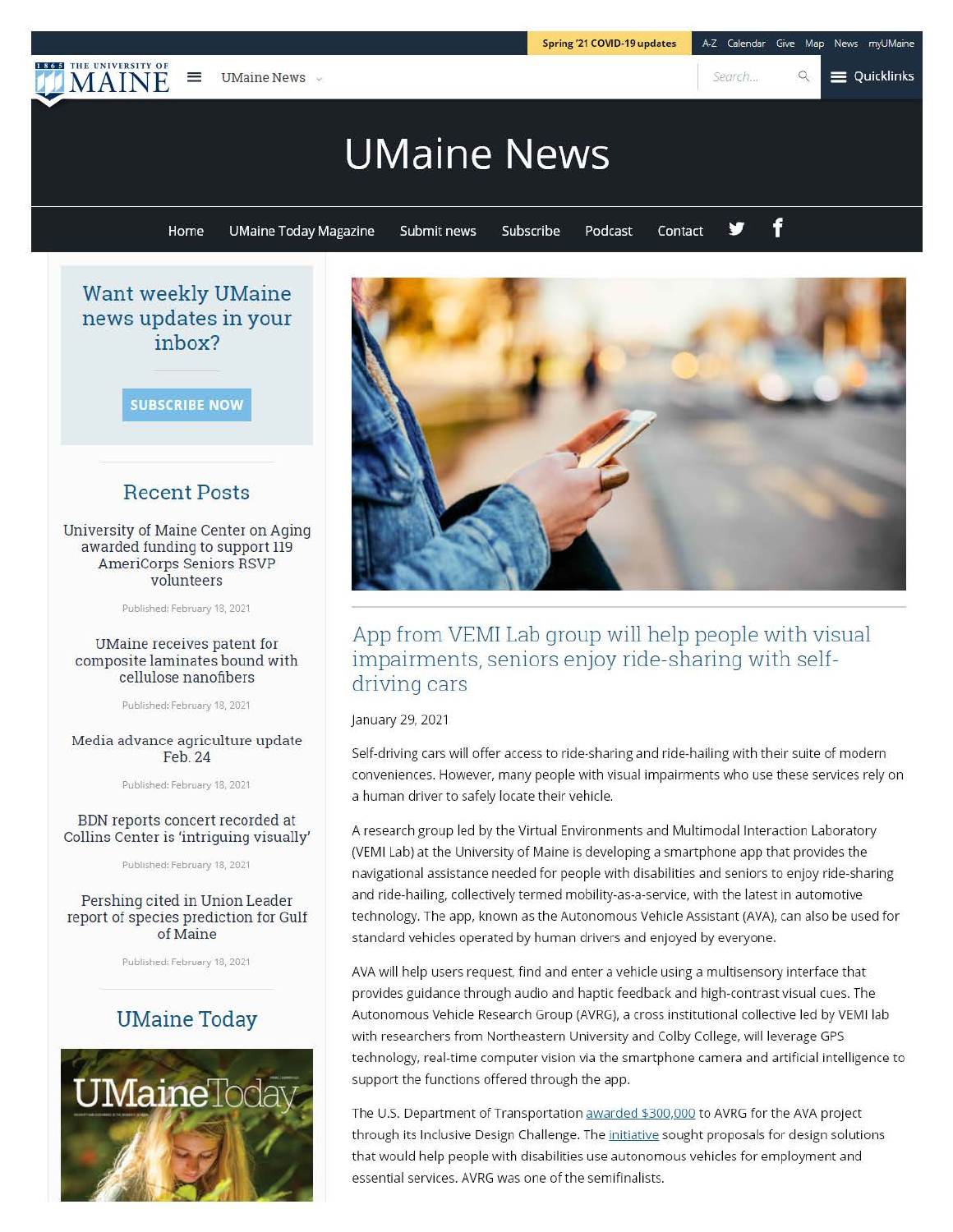

Collins Center is 'intriguing visually' Published: February 18, 2021

Pershing cited in Union Leader report of species prediction for Gulf of Maine

Published: February 18, 2021

## **UMaine Today**



A research group led by the Virtual Environments and Multimodal Interaction Laboratory (VEMI Lab) at the University of Maine is developing a smartphone app that provides the navigational assistance needed for people with disabilities and seniors to enjoy ride-sharing and ride-hailing, collectively termed mobility-as-a-service, with the latest in automotive technology. The app, known as the Autonomous Vehicle Assistant (AVA), can also be used for standard vehicles operated by human drivers and enjoyed by everyone.

Spring '21 COVI0·19 updates

AVA will help users request, find and enter a vehicle using a multisensory interface that provides guidance through audio and haptic feedback and high-contrast visual cues. The Autonomous Vehicle Research Group (AVRG), a cross institutional collective led by VEMI lab with researchers from Northeastern University and Colby College, will leverage GPS technology, real-time computer vision via the smartphone camera and artificial intelligence to support the functions offered through the app.

The U.S. Department of Transportation awarded \$300,000 to AVRG for the AVA project through its Inclusive Design Challenge. The initiative sought proposals for design solutions that would help people with disabilities use autonomous vehicles for employment and essential services. AVRG was one of the semifinalists.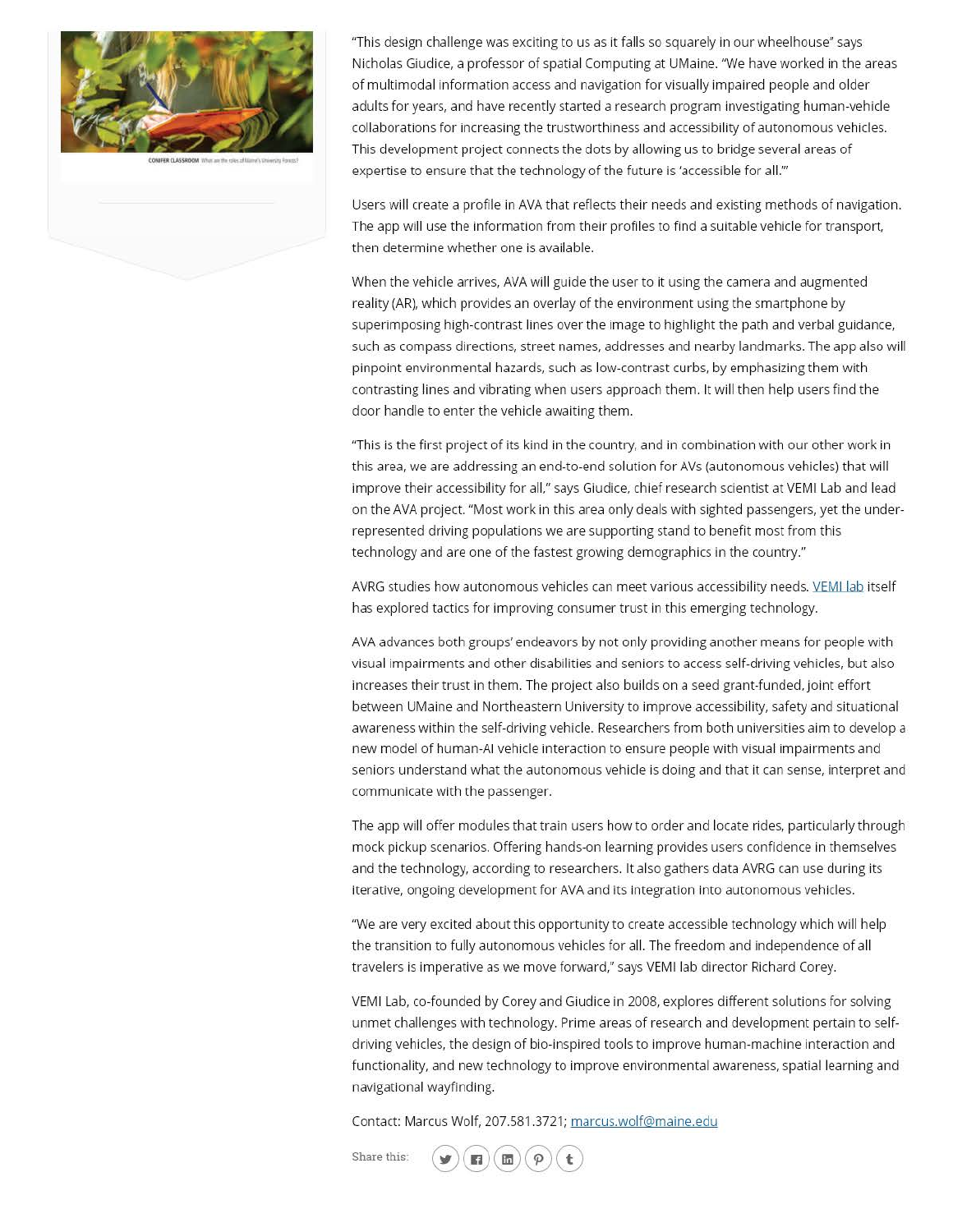

"This design challenge was exciting to us as it falls so squarely in our wheelhouse" says Nicholas Giudice, a professor of spatial Computing at UMaine. 'We have worked in the areas of multimodal information access and navigation for visually impaired people and older adults for years, and have recently started a research program investigating human-vehicle collaborations for increasing the trustworthiness and accessibility of autonomous vehicles. This development project connects the dots by allowing us to bridge several areas of expertise to ensure that the technology of the future is 'accessible for all."'

Users will create a profile in AVA that reflects their needs and existing methods of navigation. The app will use the information from their profiles to find a suitable vehicle for transport, then determine whether one is available.

When the vehicle arrives, AVA will guide the user to it using the camera and augmented reality (AR), which provides an overlay of the environment using the smartphone by superimposing high-contrast lines over the image to highlight the path and verbal guidance, such as compass directions, street names, addresses and nearby landmarks. The app also will pinpoint environmental hazards, such as low-contrast curbs, by emphasizing them with contrasting lines and vibrating when users approach them. It will then help users find the door handle to enter the vehicle awaiting them.

"This is the first project of its kind in the country, and in combination with our other work in this area, we are addressing an end-to-end solution for AVs (autonomous vehicles) that will improve their accessibility for all," says Giudice, chief research scientist at VEMI Lab and lead on the AVA project. "Most work in this area only deals with sighted passengers, yet the underrepresented driving populations we are supporting stand to benefit most from this technology and are one of the fastest growing demographics in the country."

AVRG studies how autonomous vehicles can meet various accessibility needs. VEMI lab itself has explored tactics for improving consumer trust in this emerging technology.

AVA advances both groups' endeavors by not only providing another means for people with visual impairments and other disabilities and seniors to access self-driving vehicles, but also increases their trust in them. The project also builds on a seed grant-funded, joint effort between UMaine and Northeastern University to improve accessibility, safety and situational awareness within the self-driving vehicle. Researchers from both universities aim to develop a new model of human-Al vehicle interaction to ensure people with visual impairments and seniors understand what the autonomous vehicle is doing and that it can sense, interpret and communicate with the passenger.

The app will offer modules that train users how to order and locate rides, particularly through mock pickup scenarios. Offering hands-on learning provides users confidence in themselves and the technology, according to researchers. It also gathers data AVRG can use during its iterative, ongoing development for AVA and its integration into autonomous vehicles.

'We are very excited about this opportunity to create accessible technology which will help the transition to fully autonomous vehicles for all. The freedom and independence of all travelers is imperative as we move forward," says VEMI lab director Richard Corey.

VEMI Lab, co-founded by Corey and Giudice in 2008, explores different solutions for solving unmet challenges with technology. Prime areas of research and development pertain to selfdriving vehicles, the design of bio-inspired tools to improve human-machine interaction and functionality, and new technology to improve environmental awareness, spatial learning and navigational wayfinding.

Contact: Marcus Wolf, 207.581.3721; marcus.wolf@maine.edu